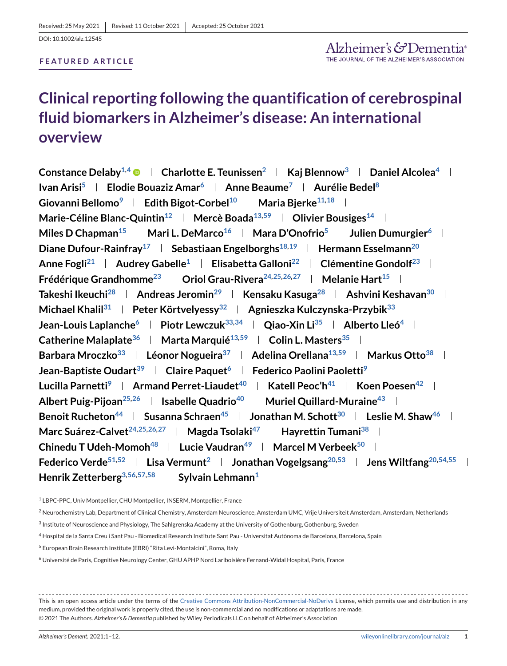### **FEATURED ARTICLE**

## **Clinical reporting following the quantification of cerebrospinal fluid biomarkers in Alzheimer's disease: An international overview**

**Constance Delaby**<sup>1,4</sup>  $\bullet$  | Charlotte E. Teunissen<sup>2</sup> | Kaj Blennow<sup>3</sup> | Daniel Alcolea<sup>4</sup> | **Ivan Arisi<sup>5</sup> | Elodie Bouaziz Amar<sup>6</sup> | Anne Beaume<sup>7</sup> | Aurélie Bedel<sup>8</sup> | Giovanni Bellomo**<sup>9</sup> | Edith Bigot-Corbel<sup>10</sup> | Maria Bierke<sup>11,18</sup> | **Marie-Céline Blanc-Quintin**<sup>12</sup> | Mercè Boada<sup>13[,59](#page-2-0)</sup> | Olivier Bousiges<sup>14</sup> | **Miles D Chapman<sup>15</sup> | Mari L. DeMarco<sup>16</sup> | Mara D'Onofrio<sup>5</sup> | Julien Dumurgier<sup>6</sup> | Diane Dufour-Rainfray**<sup>17</sup> **Sebastiaan Engelborghs**<sup>18,19</sup> **Hermann Esselmann**<sup>20</sup> l **Anne Fogl[i21](#page-1-0) Audrey Gabelle1 Elisabetta Gallon[i22](#page-1-0) Clémentine Gondol[f23](#page-1-0) Frédérique Grandhomme**<sup>23</sup> **Oriol Grau-Rivera**<sup>24,25,26,27 **|** Melanie Hart<sup>15</sup> **|**</sup> **Takeshi Ikeuch[i28](#page-1-0) Andreas Jeromi[n29](#page-1-0) Kensaku Kasug[a28](#page-1-0) Ashvini Keshava[n30](#page-1-0) Michael Khali[l31](#page-1-0) Peter Körtvelyess[y32](#page-1-0) Agnieszka Kulczynska-Przybi[k33](#page-1-0) Jean-Louis Laplanche**<sup>6</sup> **Piotr Lewczuk**<sup>33,34</sup> **Qiao-Xin Li**<sup>35</sup> **Alberto Lleó<sup>4</sup> l Catherine Malaplate**<sup>36</sup> **Marta Marquié**<sup>13,[59](#page-2-0)</sup> **Colin L. Masters**<sup>35</sup> **Marticle 1 Barbara Mroczko<sup>33</sup> | Léonor Nogueira<sup>37</sup> | Adelina Orellana<sup>13,[59](#page-2-0)</sup> | Markus Otto<sup>38</sup> | Jean-Baptiste Oudart<sup>39</sup> | Claire Paquet<sup>6</sup> | Federico Paolini Paoletti<sup>9</sup> | Lucilla Parnetti**<sup>9</sup> **Armand Perret-Liaudet**<sup>40</sup> **Katell Peoc'h**<sup>41</sup> **Koen Poesen**<sup>42</sup> **Koen** Albert Puig-Pijoan<sup>25,26</sup> | Isabelle Quadrio<sup>40</sup> | Muriel Quillard-Muraine<sup>43</sup> | **Benoit Rucheton**<sup>44</sup> **Susanna Schraen**<sup>45</sup> **Jonathan M. Schott**<sup>30</sup> **Leslie M. Shaw**<sup>46</sup> **L Marc Suárez-Calvet**<sup>24,25,26,27 | **Magda Tsolaki**<sup>47</sup> | **Hayrettin Tumani**<sup>38</sup> |</sup> **Chinedu T Udeh-Momoh**<sup>48</sup> **Lucie Vaudran**<sup>49</sup> **Marcel M Verbeek**<sup>50</sup> **L Federico Verd[e51,](#page-1-0)[52](#page-2-0) Lisa Vermunt2 Jonathan Vogelgsan[g20,](#page-1-0)[53](#page-2-0) Jens Wiltfan[g20,](#page-1-0)[54,55](#page-2-0) Henrik Zetterberg**<sup>3[,56,57,58](#page-2-0)</sup> | Sylvain Lehmann<sup>1</sup>

<sup>1</sup> LBPC-PPC, Univ Montpellier, CHU Montpellier, INSERM, Montpellier, France

<sup>2</sup> Neurochemistry Lab, Department of Clinical Chemistry, Amsterdam Neuroscience, Amsterdam UMC, Vrije Universiteit Amsterdam, Amsterdam, Netherlands

- <sup>3</sup> Institute of Neuroscience and Physiology, The Sahlgrenska Academy at the University of Gothenburg, Gothenburg, Sweden
- <sup>4</sup> Hospital de la Santa Creu i Sant Pau Biomedical Research Institute Sant Pau Universitat Autònoma de Barcelona, Barcelona, Spain
- <sup>5</sup> European Brain Research Institute (EBRI) "Rita Levi-Montalcini", Roma, Italy
- <sup>6</sup> Université de Paris, Cognitive Neurology Center, GHU APHP Nord Lariboisière Fernand-Widal Hospital, Paris, France

This is an open access article under the terms of the [Creative Commons Attribution-NonCommercial-NoDerivs](http://creativecommons.org/licenses/by-nc-nd/4.0/) License, which permits use and distribution in any medium, provided the original work is properly cited, the use is non-commercial and no modifications or adaptations are made. © 2021 The Authors. *Alzheimer's & Dementia* published by Wiley Periodicals LLC on behalf of Alzheimer's Association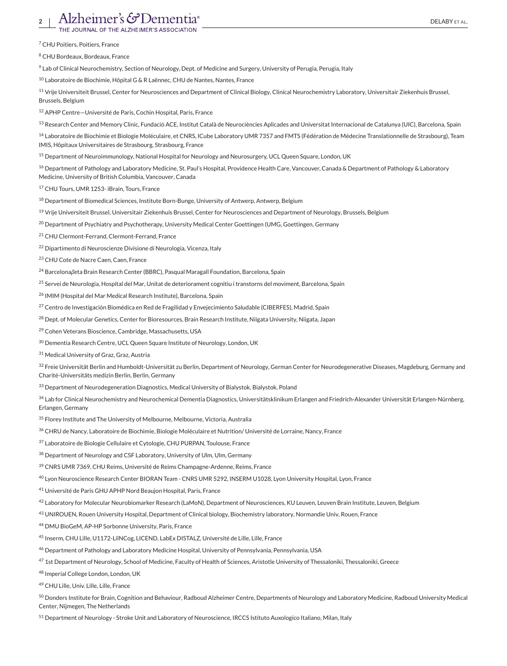## <span id="page-1-0"></span>Alzheimer's  $\mathcal{F}$ Dementia<sup>®</sup>

<sup>7</sup> CHU Poitiers, Poitiers, France

<sup>8</sup> CHU Bordeaux, Bordeaux, France

9 Lab of Clinical Neurochemistry, Section of Neurology, Dept. of Medicine and Surgery, University of Perugia, Perugia, Italy

<sup>10</sup> Laboratoire de Biochimie, Hôpital G & R Laënnec, CHU de Nantes, Nantes, France

<sup>11</sup> Vrije Universiteit Brussel, Center for Neurosciences and Department of Clinical Biology, Clinical Neurochemistry Laboratory, Universitair Ziekenhuis Brussel, Brussels, Belgium

<sup>12</sup> APHP Centre—Université de Paris, Cochin Hospital, Paris, France

<sup>13</sup> Research Center and Memory Clinic, Fundació ACE, Institut Català de Neurociències Aplicades and Universitat Internacional de Catalunya (UIC), Barcelona, Spain

<sup>14</sup> Laboratoire de Biochimie et Biologie Moléculaire, et CNRS, ICube Laboratory UMR 7357 and FMTS (Fédération de Médecine Translationnelle de Strasbourg), Team IMIS, Hôpitaux Universitaires de Strasbourg, Strasbourg, France

<sup>15</sup> Department of Neuroimmunology, National Hospital for Neurology and Neurosurgery, UCL Queen Square, London, UK

<sup>16</sup> Department of Pathology and Laboratory Medicine, St. Paul's Hospital, Providence Health Care, Vancouver, Canada & Department of Pathology & Laboratory Medicine, University of British Columbia, Vancouver, Canada

<sup>17</sup> CHU Tours, UMR 1253- iBrain, Tours, France

<sup>18</sup> Department of Biomedical Sciences, Institute Born-Bunge, University of Antwerp, Antwerp, Belgium

<sup>19</sup> Vrije Universiteit Brussel, Universitair Ziekenhuis Brussel, Center for Neurosciences and Department of Neurology, Brussels, Belgium

<sup>20</sup> Department of Psychiatry and Psychotherapy, University Medical Center Goettingen (UMG, Goettingen, Germany

<sup>21</sup> CHU Clermont-Ferrand, Clermont-Ferrand, France

<sup>22</sup> Dipartimento di Neuroscienze Divisione di Neurologia, Vicenza, Italy

<sup>23</sup> CHU Cote de Nacre Caen, Caen, France

<sup>24</sup> Barcelona*β*eta Brain Research Center (BBRC), Pasqual Maragall Foundation, Barcelona, Spain

<sup>25</sup> Servei de Neurologia, Hospital del Mar, Unitat de deteriorament cognitiu i transtorns del moviment, Barcelona, Spain

<sup>26</sup> IMIM (Hospital del Mar Medical Research Institute), Barcelona, Spain

<sup>27</sup> Centro de Investigación Biomédica en Red de Fragilidad y Envejecimiento Saludable (CIBERFES), Madrid, Spain

<sup>28</sup> Dept. of Molecular Genetics, Center for Bioresources, Brain Research Institute, Niigata University, Niigata, Japan

<sup>29</sup> Cohen Veterans Bioscience, Cambridge, Massachusetts, USA

<sup>30</sup> Dementia Research Centre, UCL Queen Square Institute of Neurology, London, UK

<sup>31</sup> Medical University of Graz, Graz, Austria

32 Freie Universität Berlin and Humboldt-Universität zu Berlin, Department of Neurology, German Center for Neurodegenerative Diseases, Magdeburg, Germany and Charité-Universitäts medizin Berlin, Berlin, Germany

33 Department of Neurodegeneration Diagnostics, Medical University of Bialystok, Bialystok, Poland

<sup>34</sup> Lab for Clinical Neurochemistry and Neurochemical Dementia Diagnostics, Universitätsklinikum Erlangen and Friedrich-Alexander Universität Erlangen-Nürnberg, Erlangen, Germany

<sup>35</sup> Florey Institute and The University of Melbourne, Melbourne, Victoria, Australia

<sup>36</sup> CHRU de Nancy, Laboratoire de Biochimie, Biologie Moléculaire et Nutrition/ Université de Lorraine, Nancy, France

37 Laboratoire de Biologie Cellulaire et Cytologie, CHU PURPAN, Toulouse, France

38 Department of Neurology and CSF Laboratory, University of Ulm, Ulm, Germany

39 CNRS UMR 7369, CHU Reims, Université de Reims Champagne-Ardenne, Reims, France

<sup>40</sup> Lyon Neuroscience Research Center BIORAN Team - CNRS UMR 5292, INSERM U1028, Lyon University Hospital, Lyon, France

<sup>41</sup> Université de Paris GHU APHP Nord Beaujon Hospital, Paris, France

<sup>42</sup> Laboratory for Molecular Neurobiomarker Research (LaMoN), Department of Neurosciences, KU Leuven, Leuven Brain Institute, Leuven, Belgium

<sup>43</sup> UNIROUEN, Rouen University Hospital, Department of Clinical biology, Biochemistry laboratory, Normandie Univ, Rouen, France

<sup>44</sup> DMU BioGeM, AP-HP Sorbonne University, Paris, France

<sup>45</sup> Inserm, CHU Lille, U1172-LilNCog, LICEND, LabEx DISTALZ, Université de Lille, Lille, France

46 Department of Pathology and Laboratory Medicine Hospital, University of Pennsylvania, Pennsylvania, USA

<sup>47</sup> 1st Department of Neurology, School of Medicine, Faculty of Health of Sciences, Aristotle University of Thessaloniki, Thessaloniki, Greece

<sup>48</sup> Imperial College London, London, UK

<sup>49</sup> CHU Lille, Univ. Lille, Lille, France

<sup>50</sup> Donders Institute for Brain, Cognition and Behaviour, Radboud Alzheimer Centre, Departments of Neurology and Laboratory Medicine, Radboud University Medical Center, Nijmegen, The Netherlands

<sup>51</sup> Department of Neurology - Stroke Unit and Laboratory of Neuroscience, IRCCS Istituto Auxologico Italiano, Milan, Italy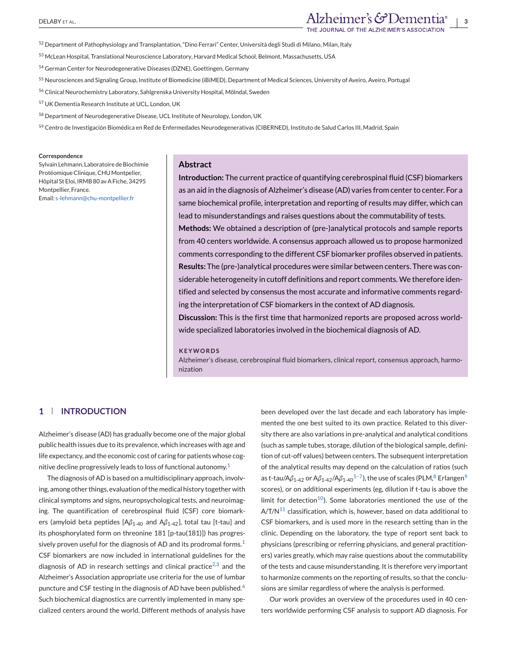- <span id="page-2-0"></span><sup>52</sup> Department of Pathophysiology and Transplantation, "Dino Ferrari" Center, Università degli Studi di Milano, Milan, Italy
- <sup>53</sup> McLean Hospital, Translational Neuroscience Laboratory, Harvard Medical School, Belmont, Massachusetts, USA
- 54 German Center for Neurodegenerative Diseases (DZNE), Goettingen, Germany
- <sup>55</sup> Neurosciences and Signaling Group, Institute of Biomedicine (iBiMED), Department of Medical Sciences, University of Aveiro, Aveiro, Portugal
- <sup>56</sup> Clinical Neurochemistry Laboratory, Sahlgrenska University Hospital, Mölndal, Sweden
- <sup>57</sup> UK Dementia Research Institute at UCL, London, UK
- <sup>58</sup> Department of Neurodegenerative Disease, UCL Institute of Neurology, London, UK
- 59 Centro de Investigación Biomédica en Red de Enfermedades Neurodegenerativas (CIBERNED), Instituto de Salud Carlos III, Madrid, Spain

#### **Correspondence**

Sylvain Lehmann, Laboratoire de Biochimie Protéomique Clinique, CHU Montpelier, Hôpital St Eloi, IRMB 80 av A Fiche, 34295 Montpellier, France. Email: [s-lehmann@chu-montpellier.fr](mailto:s-lehmann@chu-montpellier.fr)

#### **Abstract**

**Introduction:** The current practice of quantifying cerebrospinal fluid (CSF) biomarkers as an aid in the diagnosis of Alzheimer's disease (AD) varies from center to center. For a same biochemical profile, interpretation and reporting of results may differ, which can lead to misunderstandings and raises questions about the commutability of tests.

**Methods:** We obtained a description of (pre-)analytical protocols and sample reports from 40 centers worldwide. A consensus approach allowed us to propose harmonized comments corresponding to the different CSF biomarker profiles observed in patients. **Results:** The (pre-)analytical procedures were similar between centers. There was considerable heterogeneity in cutoff definitions and report comments. We therefore identified and selected by consensus the most accurate and informative comments regarding the interpretation of CSF biomarkers in the context of AD diagnosis.

**Discussion:** This is the first time that harmonized reports are proposed across worldwide specialized laboratories involved in the biochemical diagnosis of AD.

#### **KEYWORDS**

Alzheimer's disease, cerebrospinal fluid biomarkers, clinical report, consensus approach, harmonization

## **1 INTRODUCTION**

Alzheimer's disease (AD) has gradually become one of the major global public health issues due to its prevalence, which increases with age and life expectancy, and the economic cost of caring for patients whose cog-nitive decline progressively leads to loss of functional autonomy.<sup>[1](#page-10-0)</sup>

The diagnosis of AD is based on a multidisciplinary approach, involving, among other things, evaluation of the medical history together with clinical symptoms and signs, neuropsychological tests, and neuroimaging. The quantification of cerebrospinal fluid (CSF) core biomarkers (amyloid beta peptides [A*β*1-40 and A*β*1-42], total tau [t-tau] and its phosphorylated form on threonine 181 [p-tau(181)]) has progres-sively proven useful for the diagnosis of AD and its prodromal forms.<sup>[1](#page-10-0)</sup> CSF biomarkers are now included in international guidelines for the diagnosis of AD in research settings and clinical practice<sup>[2,3](#page-10-0)</sup> and the Alzheimer's Association appropriate use criteria for the use of lumbar puncture and CSF testing in the diagnosis of AD have been published.<sup>[4](#page-10-0)</sup> Such biochemical diagnostics are currently implemented in many specialized centers around the world. Different methods of analysis have

been developed over the last decade and each laboratory has implemented the one best suited to its own practice. Related to this diversity there are also variations in pre-analytical and analytical conditions (such as sample tubes, storage, dilution of the biological sample, definition of cut-off values) between centers. The subsequent interpretation of the analytical results may depend on the calculation of ratios (such as t-tau/Aβ<sub>1-42</sub> or Aβ<sub>1-42</sub>/Aβ<sub>1-40</sub><sup>5-7</sup>), the use of scales (PLM,<sup>8</sup> Erlangen<sup>9</sup> scores), or on additional experiments (eg, dilution if t-tau is above the limit for detection<sup>10</sup>). Some laboratories mentioned the use of the  $A/T/N<sup>11</sup>$  classification, which is, however, based on data additional to CSF biomarkers, and is used more in the research setting than in the clinic. Depending on the laboratory, the type of report sent back to physicians (prescribing or referring physicians, and general practitioners) varies greatly, which may raise questions about the commutability of the tests and cause misunderstanding. It is therefore very important to harmonize comments on the reporting of results, so that the conclusions are similar regardless of where the analysis is performed.

Our work provides an overview of the procedures used in 40 centers worldwide performing CSF analysis to support AD diagnosis. For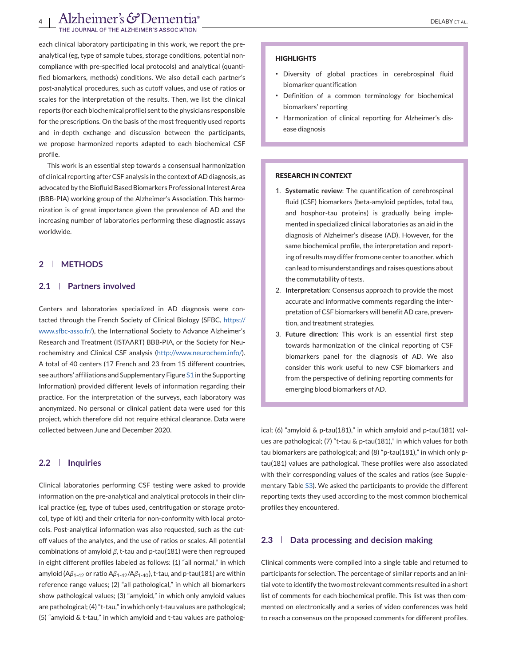each clinical laboratory participating in this work, we report the preanalytical (eg, type of sample tubes, storage conditions, potential noncompliance with pre-specified local protocols) and analytical (quantified biomarkers, methods) conditions. We also detail each partner's post-analytical procedures, such as cutoff values, and use of ratios or scales for the interpretation of the results. Then, we list the clinical reports (for each biochemical profile) sent to the physicians responsible for the prescriptions. On the basis of the most frequently used reports and in-depth exchange and discussion between the participants, we propose harmonized reports adapted to each biochemical CSF profile.

This work is an essential step towards a consensual harmonization of clinical reporting after CSF analysis in the context of AD diagnosis, as advocated by the Biofluid Based Biomarkers Professional Interest Area (BBB-PIA) working group of the Alzheimer's Association. This harmonization is of great importance given the prevalence of AD and the increasing number of laboratories performing these diagnostic assays worldwide.

## **2 METHODS**

## **2.1 Partners involved**

Centers and laboratories specialized in AD diagnosis were contacted through the French Society of Clinical Biology (SFBC, [https://](https://www.sfbc-asso.fr/) [www.sfbc-asso.fr/\)](https://www.sfbc-asso.fr/), the International Society to Advance Alzheimer's Research and Treatment (ISTAART) BBB-PIA, or the Society for Neurochemistry and Clinical CSF analysis [\(http://www.neurochem.info/\)](http://www.neurochem.info/). A total of 40 centers (17 French and 23 from 15 different countries, see authors' affiliations and Supplementary Figure S1 in the Supporting Information) provided different levels of information regarding their practice. For the interpretation of the surveys, each laboratory was anonymized. No personal or clinical patient data were used for this project, which therefore did not require ethical clearance. Data were collected between June and December 2020.

## **2.2 Inquiries**

Clinical laboratories performing CSF testing were asked to provide information on the pre-analytical and analytical protocols in their clinical practice (eg, type of tubes used, centrifugation or storage protocol, type of kit) and their criteria for non-conformity with local protocols. Post-analytical information was also requested, such as the cutoff values of the analytes, and the use of ratios or scales. All potential combinations of amyloid *β*, t-tau and p-tau(181) were then regrouped in eight different profiles labeled as follows: (1) "all normal," in which amyloid (A*β*1-42 or ratio A*β*1-42/A*β*1-40), t-tau, and p-tau(181) are within reference range values; (2) "all pathological," in which all biomarkers show pathological values; (3) "amyloid," in which only amyloid values are pathological; (4) "t-tau," in which only t-tau values are pathological; (5) "amyloid & t-tau," in which amyloid and t-tau values are patholog-

#### **HIGHLIGHTS**

- ∙ Diversity of global practices in cerebrospinal fluid biomarker quantification
- ∙ Definition of a common terminology for biochemical biomarkers' reporting
- ∙ Harmonization of clinical reporting for Alzheimer's disease diagnosis

#### **RESEARCH IN CONTEXT**

- 1. **Systematic review**: The quantification of cerebrospinal fluid (CSF) biomarkers (beta-amyloid peptides, total tau, and hosphor-tau proteins) is gradually being implemented in specialized clinical laboratories as an aid in the diagnosis of Alzheimer's disease (AD). However, for the same biochemical profile, the interpretation and reporting of results may differ from one center to another, which can lead to misunderstandings and raises questions about the commutability of tests.
- 2. **Interpretation**: Consensus approach to provide the most accurate and informative comments regarding the interpretation of CSF biomarkers will benefit AD care, prevention, and treatment strategies.
- 3. **Future direction**: This work is an essential first step towards harmonization of the clinical reporting of CSF biomarkers panel for the diagnosis of AD. We also consider this work useful to new CSF biomarkers and from the perspective of defining reporting comments for emerging blood biomarkers of AD.

ical; (6) "amyloid & p-tau(181)," in which amyloid and p-tau(181) values are pathological; (7) "t-tau & p-tau(181)," in which values for both tau biomarkers are pathological; and (8) "p-tau(181)," in which only ptau(181) values are pathological. These profiles were also associated with their corresponding values of the scales and ratios (see Supplementary Table S3). We asked the participants to provide the different reporting texts they used according to the most common biochemical profiles they encountered.

#### **2.3 Data processing and decision making**

Clinical comments were compiled into a single table and returned to participants for selection. The percentage of similar reports and an initial vote to identify the two most relevant comments resulted in a short list of comments for each biochemical profile. This list was then commented on electronically and a series of video conferences was held to reach a consensus on the proposed comments for different profiles.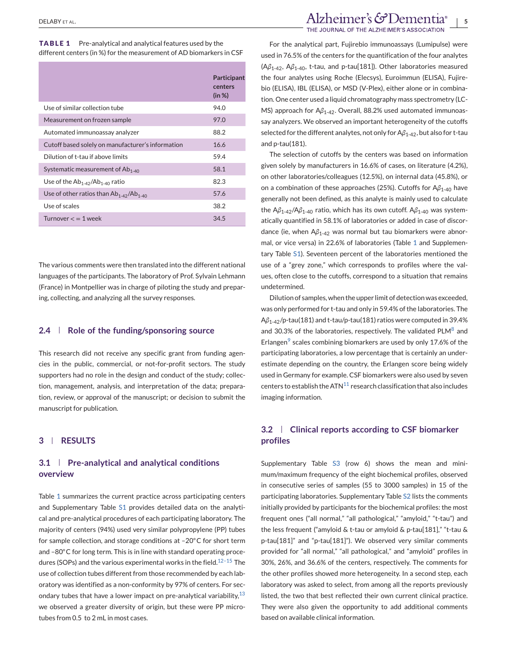**TABLE 1** Pre-analytical and analytical features used by the different centers (in %) for the measurement of AD biomarkers in CSF

|                                                   | Participant<br>centers<br>(in %) |
|---------------------------------------------------|----------------------------------|
| Use of similar collection tube                    | 94.0                             |
| Measurement on frozen sample                      | 97.0                             |
| Automated immunoassay analyzer                    | 88.2                             |
| Cutoff based solely on manufacturer's information | 16.6                             |
| Dilution of t-tau if above limits                 | 59.4                             |
| Systematic measurement of $Ab1-40$                | 58.1                             |
| Use of the $Ab_{1-42}/Ab_{1-40}$ ratio            | 82.3                             |
| Use of other ratios than $Ab_{1-42}/Ab_{1-40}$    | 57.6                             |
| Use of scales                                     | 38.2                             |
| Turnover $\lt$ = 1 week                           | 34.5                             |

The various comments were then translated into the different national languages of the participants. The laboratory of Prof. Sylvain Lehmann (France) in Montpellier was in charge of piloting the study and preparing, collecting, and analyzing all the survey responses.

## **2.4 Role of the funding/sponsoring source**

This research did not receive any specific grant from funding agencies in the public, commercial, or not-for-profit sectors. The study supporters had no role in the design and conduct of the study; collection, management, analysis, and interpretation of the data; preparation, review, or approval of the manuscript; or decision to submit the manuscript for publication.

## **3 RESULTS**

## **3.1 Pre-analytical and analytical conditions overview**

Table 1 summarizes the current practice across participating centers and Supplementary Table S1 provides detailed data on the analytical and pre-analytical procedures of each participating laboratory. The majority of centers (94%) used very similar polypropylene (PP) tubes for sample collection, and storage conditions at –20◦C for short term and −80°C for long term. This is in line with standard operating procedures (SOPs) and the various experimental works in the field.<sup>12-15</sup> The use of collection tubes different from those recommended by each laboratory was identified as a non-conformity by 97% of centers. For secondary tubes that have a lower impact on pre-analytical variability,  $13$ we observed a greater diversity of origin, but these were PP microtubes from 0.5 to 2 mL in most cases.

For the analytical part, Fujirebio immunoassays (Lumipulse) were used in 76.5% of the centers for the quantification of the four analytes (A*β*1-42, A*β*1-40, t-tau, and p-tau[181]). Other laboratories measured the four analytes using Roche (Elecsys), Euroimmun (ELISA), Fujirebio (ELISA), IBL (ELISA), or MSD (V-Plex), either alone or in combination. One center used a liquid chromatography mass spectrometry (LC-MS) approach for Aβ<sub>1-42</sub>. Overall, 88.2% used automated immunoassay analyzers. We observed an important heterogeneity of the cutoffs selected for the different analytes, not only for Aβ<sub>1-42</sub>, but also for t-tau and p-tau(181).

The selection of cutoffs by the centers was based on information given solely by manufacturers in 16.6% of cases, on literature (4.2%), on other laboratories/colleagues (12.5%), on internal data (45.8%), or on a combination of these approaches (25%). Cutoffs for A*β*1-40 have generally not been defined, as this analyte is mainly used to calculate the Aβ<sub>1-42</sub>/Aβ<sub>1-40</sub> ratio, which has its own cutoff. Aβ<sub>1-40</sub> was systematically quantified in 58.1% of laboratories or added in case of discordance (ie, when Aβ<sub>1-42</sub> was normal but tau biomarkers were abnormal, or vice versa) in 22.6% of laboratories (Table 1 and Supplementary Table S1). Seventeen percent of the laboratories mentioned the use of a "grey zone," which corresponds to profiles where the values, often close to the cutoffs, correspond to a situation that remains undetermined.

Dilution of samples, when the upper limit of detection was exceeded, was only performed for t-tau and only in 59.4% of the laboratories. The A*β*1-42/p-tau(181) and t-tau/p-tau(181) ratios were computed in 39.4% and 30.3% of the laboratories, respectively. The validated  $PLM<sup>8</sup>$  $PLM<sup>8</sup>$  $PLM<sup>8</sup>$  and Erlangen $<sup>9</sup>$  scales combining biomarkers are used by only 17.6% of the</sup> participating laboratories, a low percentage that is certainly an underestimate depending on the country, the Erlangen score being widely used in Germany for example. CSF biomarkers were also used by seven centers to establish the ATN $^{11}$  $^{11}$  $^{11}$  research classification that also includes imaging information.

## **3.2 Clinical reports according to CSF biomarker profiles**

Supplementary Table S3 (row 6) shows the mean and minimum/maximum frequency of the eight biochemical profiles, observed in consecutive series of samples (55 to 3000 samples) in 15 of the participating laboratories. Supplementary Table S2 lists the comments initially provided by participants for the biochemical profiles: the most frequent ones ("all normal," "all pathological," "amyloid," "t-tau") and the less frequent ("amyloid & t-tau or amyloid & p-tau[181]," "t-tau & p-tau[181]" and "p-tau[181]"). We observed very similar comments provided for "all normal," "all pathological," and "amyloid" profiles in 30%, 26%, and 36.6% of the centers, respectively. The comments for the other profiles showed more heterogeneity. In a second step, each laboratory was asked to select, from among all the reports previously listed, the two that best reflected their own current clinical practice. They were also given the opportunity to add additional comments based on available clinical information.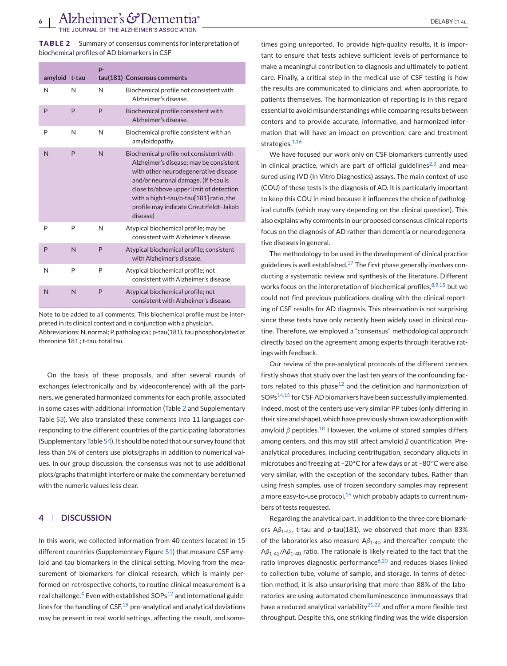<span id="page-5-0"></span>**TABLE 2** Summary of consensus comments for interpretation of biochemical profiles of AD biomarkers in CSF

|  | amyloid t-tau |                | p- | tau(181) Consensus comments                                                                                                                                                                                                                                                                                   |
|--|---------------|----------------|----|---------------------------------------------------------------------------------------------------------------------------------------------------------------------------------------------------------------------------------------------------------------------------------------------------------------|
|  | N             | N              | N  | Biochemical profile not consistent with<br>Alzheimer's disease.                                                                                                                                                                                                                                               |
|  | P             | P              | P  | Biochemical profile consistent with<br>Alzheimer's disease.                                                                                                                                                                                                                                                   |
|  | P             | N              | N  | Biochemical profile consistent with an<br>amyloidopathy.                                                                                                                                                                                                                                                      |
|  | N             | P              | N  | Biochemical profile not consistent with<br>Alzheimer's disease; may be consistent<br>with other neurodegenerative disease<br>and/or neuronal damage. (If t-tau is<br>close to/above upper limit of detection<br>with a high t-tau/p-tau[181] ratio, the<br>profile may indicate Creutzfeldt-Jakob<br>disease) |
|  | P             | P              | N  | Atypical biochemical profile; may be<br>consistent with Alzheimer's disease.                                                                                                                                                                                                                                  |
|  | P             | N              | P  | Atypical biochemical profile; consistent<br>with Alzheimer's disease.                                                                                                                                                                                                                                         |
|  | N             | P              | P  | Atypical biochemical profile; not<br>consistent with Alzheimer's disease.                                                                                                                                                                                                                                     |
|  | N             | $\overline{N}$ | P  | Atypical biochemical profile; not<br>consistent with Alzheimer's disease.                                                                                                                                                                                                                                     |

Note to be added to all comments: This biochemical profile must be interpreted in its clinical context and in conjunction with a physician. Abbreviations: N, normal; P, pathological; p-tau(181), tau phosphorylated at threonine 181.; t-tau, total tau.

On the basis of these proposals, and after several rounds of exchanges (electronically and by videoconference) with all the partners, we generated harmonized comments for each profile, associated in some cases with additional information (Table 2 and Supplementary Table S3). We also translated these comments into 11 languages corresponding to the different countries of the participating laboratories (Supplementary Table S4). It should be noted that our survey found that less than 5% of centers use plots/graphs in addition to numerical values. In our group discussion, the consensus was not to use additional plots/graphs that might interfere or make the commentary be returned with the numeric values less clear.

## **4 DISCUSSION**

In this work, we collected information from 40 centers located in 15 different countries (Supplementary Figure S1) that measure CSF amyloid and tau biomarkers in the clinical setting. Moving from the measurement of biomarkers for clinical research, which is mainly performed on retrospective cohorts, to routine clinical measurement is a real challenge.<sup>[4](#page-10-0)</sup> Even with established  $SOPs<sup>12</sup>$  $SOPs<sup>12</sup>$  $SOPs<sup>12</sup>$  and international guidelines for the handling of  $CSF$ ,  $15$  pre-analytical and analytical deviations may be present in real world settings, affecting the result, and some-

times going unreported. To provide high-quality results, it is important to ensure that tests achieve sufficient levels of performance to make a meaningful contribution to diagnosis and ultimately to patient care. Finally, a critical step in the medical use of CSF testing is how the results are communicated to clinicians and, when appropriate, to patients themselves. The harmonization of reporting is in this regard essential to avoid misunderstandings while comparing results between centers and to provide accurate, informative, and harmonized information that will have an impact on prevention, care and treatment strategies.<sup>[1,16](#page-10-0)</sup>

We have focused our work only on CSF biomarkers currently used in clinical practice, which are part of official guidelines<sup>[2,3](#page-10-0)</sup> and measured using IVD (In Vitro Diagnostics) assays. The main context of use (COU) of these tests is the diagnosis of AD. It is particularly important to keep this COU in mind because it influences the choice of pathological cutoffs (which may vary depending on the clinical question). This also explains why comments in our proposed consensus clinical reports focus on the diagnosis of AD rather than dementia or neurodegenerative diseases in general.

The methodology to be used in the development of clinical practice guidelines is well established. $17$  The first phase generally involves conducting a systematic review and synthesis of the literature. Different works focus on the interpretation of biochemical profiles,  $8,9,15$  but we could not find previous publications dealing with the clinical reporting of CSF results for AD diagnosis. This observation is not surprising since these tests have only recently been widely used in clinical routine. Therefore, we employed a "consensus" methodological approach directly based on the agreement among experts through iterative ratings with feedback.

Our review of the pre-analytical protocols of the different centers firstly shows that study over the last ten years of the confounding fac-tors related to this phase<sup>[12](#page-10-0)</sup> and the definition and harmonization of SOP[s14,15](#page-10-0) for CSF AD biomarkers have been successfully implemented. Indeed, most of the centers use very similar PP tubes (only differing in their size and shape), which have previously shown low adsorption with amyloid  $\beta$  peptides.<sup>[18](#page-10-0)</sup> However, the volume of stored samples differs among centers, and this may still affect amyloid *β* quantification. Preanalytical procedures, including centrifugation, secondary aliquots in microtubes and freezing at –20◦C for a few days or at –80◦C were also very similar, with the exception of the secondary tubes. Rather than using fresh samples, use of frozen secondary samples may represent a more easy-to-use protocol, $19$  which probably adapts to current numbers of tests requested.

Regarding the analytical part, in addition to the three core biomarkers Aβ<sub>1-42</sub>, t-tau and p-tau(181), we observed that more than 83% of the laboratories also measure A*β*1-40 and thereafter compute the A*β*1-42/A*β*1-40 ratio. The rationale is likely related to the fact that the ratio improves diagnostic performance<sup>[6,20](#page-10-0)</sup> and reduces biases linked to collection tube, volume of sample, and storage. In terms of detection method, it is also unsurprising that more than 88% of the laboratories are using automated chemiluminescence immunoassays that have a reduced analytical variability $2^{1,22}$  and offer a more flexible test throughput. Despite this, one striking finding was the wide dispersion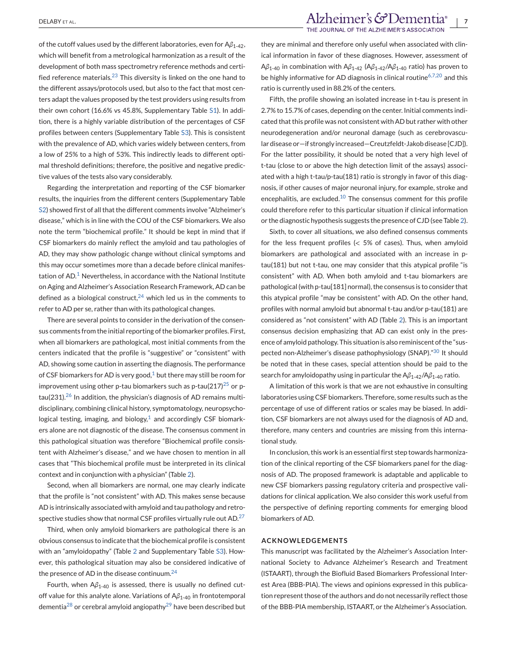of the cutoff values used by the different laboratories, even for A*β*1-42, which will benefit from a metrological harmonization as a result of the development of both mass spectrometry reference methods and certified reference materials. $^{23}$  $^{23}$  $^{23}$  This diversity is linked on the one hand to the different assays/protocols used, but also to the fact that most centers adapt the values proposed by the test providers using results from their own cohort (16.6% vs 45.8%, Supplementary Table S1). In addition, there is a highly variable distribution of the percentages of CSF profiles between centers (Supplementary Table S3). This is consistent with the prevalence of AD, which varies widely between centers, from a low of 25% to a high of 53%. This indirectly leads to different optimal threshold definitions; therefore, the positive and negative predictive values of the tests also vary considerably.

Regarding the interpretation and reporting of the CSF biomarker results, the inquiries from the different centers (Supplementary Table S2) showed first of all that the different comments involve "Alzheimer's disease," which is in line with the COU of the CSF biomarkers. We also note the term "biochemical profile." It should be kept in mind that if CSF biomarkers do mainly reflect the amyloid and tau pathologies of AD, they may show pathologic change without clinical symptoms and this may occur sometimes more than a decade before clinical manifestation of  $AD<sup>1</sup>$  $AD<sup>1</sup>$  $AD<sup>1</sup>$  Nevertheless, in accordance with the National Institute on Aging and Alzheimer's Association Research Framework, AD can be defined as a biological construct,  $24$  which led us in the comments to refer to AD per se, rather than with its pathological changes.

There are several points to consider in the derivation of the consensus comments from the initial reporting of the biomarker profiles. First, when all biomarkers are pathological, most initial comments from the centers indicated that the profile is "suggestive" or "consistent" with AD, showing some caution in asserting the diagnosis. The performance of CSF biomarkers for AD is very good, $1$  but there may still be room for improvement using other p-tau biomarkers such as p-tau( $217$ )<sup>[25](#page-10-0)</sup> or ptau(231).<sup>26</sup> In addition, the physician's diagnosis of AD remains multidisciplinary, combining clinical history, symptomatology, neuropsychological testing, imaging, and biology, $1$  and accordingly CSF biomarkers alone are not diagnostic of the disease. The consensus comment in this pathological situation was therefore "Biochemical profile consistent with Alzheimer's disease," and we have chosen to mention in all cases that "This biochemical profile must be interpreted in its clinical context and in conjunction with a physician" (Table [2\)](#page-5-0).

Second, when all biomarkers are normal, one may clearly indicate that the profile is "not consistent" with AD. This makes sense because AD is intrinsically associated with amyloid and tau pathology and retrospective studies show that normal CSF profiles virtually rule out  $AD<sup>27</sup>$  $AD<sup>27</sup>$  $AD<sup>27</sup>$ 

Third, when only amyloid biomarkers are pathological there is an obvious consensus to indicate that the biochemical profile is consistent with an "amyloidopathy" (Table [2](#page-5-0) and Supplementary Table S3). However, this pathological situation may also be considered indicative of the presence of AD in the disease continuum.<sup>[24](#page-10-0)</sup>

Fourth, when A*β*1-40 is assessed, there is usually no defined cutoff value for this analyte alone. Variations of A*β*1-40 in frontotemporal dementia<sup>[28](#page-11-0)</sup> or cerebral amyloid angiopathy<sup>[29](#page-11-0)</sup> have been described but

# DELABY ET AL. *PELABY ET AL. THE JOURNAL OF THE ALZHEIMER'S COPPORTION*

they are minimal and therefore only useful when associated with clinical information in favor of these diagnoses. However, assessment of A*β*1-40 in combination with A*β*1-42 (A*β*1-42/A*β*1-40 ratio) has proven to be highly informative for AD diagnosis in clinical routine<sup>[6,7,20](#page-10-0)</sup> and this ratio is currently used in 88.2% of the centers.

Fifth, the profile showing an isolated increase in t-tau is present in 2.7% to 15.7% of cases, depending on the center. Initial comments indicated that this profile was not consistent with AD but rather with other neurodegeneration and/or neuronal damage (such as cerebrovascular disease or—if strongly increased—Creutzfeldt-Jakob disease [CJD]). For the latter possibility, it should be noted that a very high level of t-tau (close to or above the high detection limit of the assays) associated with a high t-tau/p-tau(181) ratio is strongly in favor of this diagnosis, if other causes of major neuronal injury, for example, stroke and encephalitis, are excluded.<sup>[10](#page-10-0)</sup> The consensus comment for this profile could therefore refer to this particular situation if clinical information or the diagnostic hypothesis suggests the presence of CJD (see Table [2\)](#page-5-0).

Sixth, to cover all situations, we also defined consensus comments for the less frequent profiles (< 5% of cases). Thus, when amyloid biomarkers are pathological and associated with an increase in ptau(181) but not t-tau, one may consider that this atypical profile "is consistent" with AD. When both amyloid and t-tau biomarkers are pathological (with p-tau[181] normal), the consensus is to consider that this atypical profile "may be consistent" with AD. On the other hand, profiles with normal amyloid but abnormal t-tau and/or p-tau(181) are considered as "not consistent" with AD (Table [2\)](#page-5-0). This is an important consensus decision emphasizing that AD can exist only in the presence of amyloid pathology. This situation is also reminiscent of the "suspected non-Alzheimer's disease pathophysiology (SNAP)."[30](#page-11-0) It should be noted that in these cases, special attention should be paid to the search for amyloidopathy using in particular the Aβ<sub>1-42</sub>/Aβ<sub>1-40</sub> ratio.

A limitation of this work is that we are not exhaustive in consulting laboratories using CSF biomarkers. Therefore, some results such as the percentage of use of different ratios or scales may be biased. In addition, CSF biomarkers are not always used for the diagnosis of AD and, therefore, many centers and countries are missing from this international study.

In conclusion, this work is an essential first step towards harmonization of the clinical reporting of the CSF biomarkers panel for the diagnosis of AD. The proposed framework is adaptable and applicable to new CSF biomarkers passing regulatory criteria and prospective validations for clinical application. We also consider this work useful from the perspective of defining reporting comments for emerging blood biomarkers of AD.

#### **ACKNOWLEDGEMENTS**

This manuscript was facilitated by the Alzheimer's Association International Society to Advance Alzheimer's Research and Treatment (ISTAART), through the Biofluid Based Biomarkers Professional Interest Area (BBB-PIA). The views and opinions expressed in this publication represent those of the authors and do not necessarily reflect those of the BBB-PIA membership, ISTAART, or the Alzheimer's Association.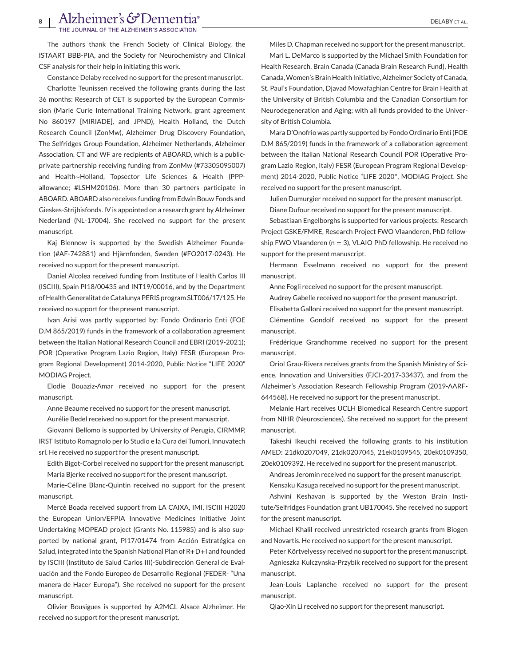# Alzheimer's GDementia<sup>®</sup><br>THE JOURNAL OF THE ALZHEIMER'S ASSOCIATION

The authors thank the French Society of Clinical Biology, the ISTAART BBB-PIA, and the Society for Neurochemistry and Clinical CSF analysis for their help in initiating this work.

Constance Delaby received no support for the present manuscript.

Charlotte Teunissen received the following grants during the last 36 months: Research of CET is supported by the European Commission (Marie Curie International Training Network, grant agreement No 860197 [MIRIADE], and JPND), Health Holland, the Dutch Research Council (ZonMw), Alzheimer Drug Discovery Foundation, The Selfridges Group Foundation, Alzheimer Netherlands, Alzheimer Association. CT and WF are recipients of ABOARD, which is a publicprivate partnership receiving funding from ZonMw (#73305095007) and Health∼Holland, Topsector Life Sciences & Health (PPPallowance; #LSHM20106). More than 30 partners participate in ABOARD. ABOARD also receives funding from Edwin Bouw Fonds and Gieskes-Strijbisfonds. IV is appointed on a research grant by Alzheimer Nederland (NL-17004). She received no support for the present manuscript.

Kaj Blennow is supported by the Swedish Alzheimer Foundation (#AF-742881) and Hjärnfonden, Sweden (#FO2017-0243). He received no support for the present manuscript.

Daniel Alcolea received funding from Institute of Health Carlos III (ISCIII), Spain PI18/00435 and INT19/00016, and by the Department of Health Generalitat de Catalunya PERIS program SLT006/17/125. He received no support for the present manuscript.

Ivan Arisi was partly supported by: Fondo Ordinario Enti (FOE D.M 865/2019) funds in the framework of a collaboration agreement between the Italian National Research Council and EBRI (2019-2021); POR (Operative Program Lazio Region, Italy) FESR (European Program Regional Development) 2014-2020, Public Notice "LIFE 2020" MODIAG Project.

Elodie Bouaziz-Amar received no support for the present manuscript.

Anne Beaume received no support for the present manuscript.

Aurélie Bedel received no support for the present manuscript.

Giovanni Bellomo is supported by University of Perugia, CIRMMP, IRST Istituto Romagnolo per lo Studio e la Cura dei Tumori, Innuvatech srl. He received no support for the present manuscript.

Edith Bigot-Corbel received no support for the present manuscript. Maria Bjerke received no support for the present manuscript.

Marie-Céline Blanc-Quintin received no support for the present manuscript.

Mercè Boada received support from LA CAIXA, IMI, ISCIII H2020 the European Union/EFPIA Innovative Medicines Initiative Joint Undertaking MOPEAD project (Grants No. 115985) and is also supported by national grant, PI17/01474 from Acción Estratégica en Salud, integrated into the Spanish National Plan of R+D+I and founded by ISCIII (Instituto de Salud Carlos III)-Subdirección General de Evaluación and the Fondo Europeo de Desarrollo Regional (FEDER- "Una manera de Hacer Europa"). She received no support for the present manuscript.

Olivier Bousigues is supported by A2MCL Alsace Alzheimer. He received no support for the present manuscript.

Miles D. Chapman received no support for the present manuscript.

Mari L. DeMarco is supported by the Michael Smith Foundation for Health Research, Brain Canada (Canada Brain Research Fund), Health Canada,Women's Brain Health Initiative, Alzheimer Society of Canada, St. Paul's Foundation, Djavad Mowafaghian Centre for Brain Health at the University of British Columbia and the Canadian Consortium for Neurodegeneration and Aging; with all funds provided to the University of British Columbia.

Mara D'Onofrio was partly supported by Fondo Ordinario Enti (FOE D.M 865/2019) funds in the framework of a collaboration agreement between the Italian National Research Council POR (Operative Program Lazio Region, Italy) FESR (European Program Regional Development) 2014-2020, Public Notice "LIFE 2020″, MODIAG Project. She received no support for the present manuscript.

Julien Dumurgier received no support for the present manuscript.

Diane Dufour received no support for the present manuscript.

Sebastiaan Engelborghs is supported for various projects: Research Project GSKE/FMRE, Research Project FWO Vlaanderen, PhD fellowship FWO Vlaanderen ( $n = 3$ ), VLAIO PhD fellowship. He received no support for the present manuscript.

Hermann Esselmann received no support for the present manuscript.

Anne Fogli received no support for the present manuscript.

Audrey Gabelle received no support for the present manuscript.

Elisabetta Galloni received no support for the present manuscript.

Clémentine Gondolf received no support for the present manuscript.

Frédérique Grandhomme received no support for the present manuscript.

Oriol Grau-Rivera receives grants from the Spanish Ministry of Science, Innovation and Universities (FJCI-2017-33437), and from the Alzheimer's Association Research Fellowship Program (2019-AARF-644568). He received no support for the present manuscript.

Melanie Hart receives UCLH Biomedical Research Centre support from NIHR (Neurosciences). She received no support for the present manuscript.

Takeshi Ikeuchi received the following grants to his institution AMED: 21dk0207049, 21dk0207045, 21ek0109545, 20ek0109350, 20ek0109392. He received no support for the present manuscript.

Andreas Jeromin received no support for the present manuscript.

Kensaku Kasuga received no support for the present manuscript.

Ashvini Keshavan is supported by the Weston Brain Institute/Selfridges Foundation grant UB170045. She received no support for the present manuscript.

Michael Khalil received unrestricted research grants from Biogen and Novartis. He received no support for the present manuscript.

Peter Körtvelyessy received no support for the present manuscript. Agnieszka Kulczynska-Przybik received no support for the present

manuscript.

Jean-Louis Laplanche received no support for the present manuscript.

Qiao-Xin Li received no support for the present manuscript.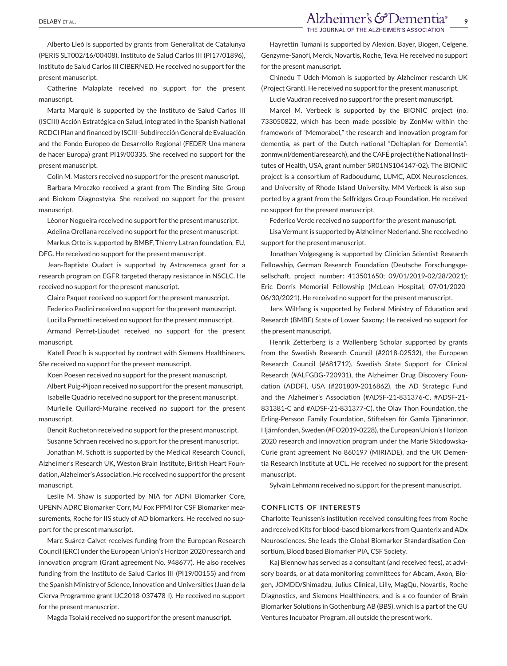Alberto Lleó is supported by grants from Generalitat de Catalunya (PERIS SLT002/16/00408), Instituto de Salud Carlos III (PI17/01896), Instituto de Salud Carlos III CIBERNED. He received no support for the present manuscript.

Catherine Malaplate received no support for the present manuscript.

Marta Marquié is supported by the Instituto de Salud Carlos III (ISCIII) Acción Estratégica en Salud, integrated in the Spanish National RCDCI Plan and financed by ISCIII-Subdirección General de Evaluación and the Fondo Europeo de Desarrollo Regional (FEDER-Una manera de hacer Europa) grant PI19/00335. She received no support for the present manuscript.

Colin M. Masters received no support for the present manuscript.

Barbara Mroczko received a grant from The Binding Site Group and Biokom Diagnostyka. She received no support for the present manuscript.

Léonor Nogueira received no support for the present manuscript. Adelina Orellana received no support for the present manuscript.

Markus Otto is supported by BMBF, Thierry Latran foundation, EU, DFG. He received no support for the present manuscript.

Jean-Baptiste Oudart is supported by Astrazeneca grant for a research program on EGFR targeted therapy resistance in NSCLC. He received no support for the present manuscript.

Claire Paquet received no support for the present manuscript.

Federico Paolini received no support for the present manuscript.

Lucilla Parnetti received no support for the present manuscript.

Armand Perret-Liaudet received no support for the present manuscript.

Katell Peoc'h is supported by contract with Siemens Healthineers. She received no support for the present manuscript.

Koen Poesen received no support for the present manuscript.

Albert Puig-Pijoan received no support for the present manuscript. Isabelle Quadrio received no support for the present manuscript.

Murielle Quillard-Muraine received no support for the present manuscript.

Benoît Rucheton received no support for the present manuscript. Susanne Schraen received no support for the present manuscript.

Jonathan M. Schott is supported by the Medical Research Council, Alzheimer's Research UK, Weston Brain Institute, British Heart Foundation, Alzheimer's Association. He received no support for the present manuscript.

Leslie M. Shaw is supported by NIA for ADNI Biomarker Core, UPENN ADRC Biomarker Corr, MJ Fox PPMI for CSF Biomarker measurements, Roche for IIS study of AD biomarkers. He received no support for the present manuscript.

Marc Suárez-Calvet receives funding from the European Research Council (ERC) under the European Union's Horizon 2020 research and innovation program (Grant agreement No. 948677). He also receives funding from the Instituto de Salud Carlos III (PI19/00155) and from the Spanish Ministry of Science, Innovation and Universities (Juan de la Cierva Programme grant IJC2018-037478-I). He received no support for the present manuscript.

Magda Tsolaki received no support for the present manuscript.

Hayrettin Tumani is supported by Alexion, Bayer, Biogen, Celgene, Genzyme-Sanofi, Merck, Novartis, Roche, Teva. He received no support for the present manuscript.

Chinedu T Udeh-Momoh is supported by Alzheimer research UK (Project Grant). He received no support for the present manuscript.

Lucie Vaudran received no support for the present manuscript.

Marcel M. Verbeek is supported by the BIONIC project (no. 733050822, which has been made possible by ZonMw within the framework of "Memorabel," the research and innovation program for dementia, as part of the Dutch national "Deltaplan for Dementia": zonmw.nl/dementiaresearch), and the CAFÉ project (the National Institutes of Health, USA, grant number 5R01NS104147-02). The BIONIC project is a consortium of Radboudumc, LUMC, ADX Neurosciences, and University of Rhode Island University. MM Verbeek is also supported by a grant from the Selfridges Group Foundation. He received no support for the present manuscript.

Federico Verde received no support for the present manuscript.

Lisa Vermunt is supported by Alzheimer Nederland. She received no support for the present manuscript.

Jonathan Volgesgang is supported by Clinician Scientist Research Fellowship, German Research Foundation (Deutsche Forschungsgesellschaft, project number: 413501650; 09/01/2019-02/28/2021); Eric Dorris Memorial Fellowship (McLean Hospital; 07/01/2020- 06/30/2021). He received no support for the present manuscript.

Jens Wiltfang is supported by Federal Ministry of Education and Research (BMBF) State of Lower Saxony; He received no support for the present manuscript.

Henrik Zetterberg is a Wallenberg Scholar supported by grants from the Swedish Research Council (#2018-02532), the European Research Council (#681712), Swedish State Support for Clinical Research (#ALFGBG-720931), the Alzheimer Drug Discovery Foundation (ADDF), USA (#201809-2016862), the AD Strategic Fund and the Alzheimer's Association (#ADSF-21-831376-C, #ADSF-21- 831381-C and #ADSF-21-831377-C), the Olav Thon Foundation, the Erling-Persson Family Foundation, Stiftelsen för Gamla Tjänarinnor, Hjärnfonden, Sweden (#FO2019-0228), the European Union's Horizon 2020 research and innovation program under the Marie Skłodowska-Curie grant agreement No 860197 (MIRIADE), and the UK Dementia Research Institute at UCL. He received no support for the present manuscript.

Sylvain Lehmann received no support for the present manuscript.

#### **CONFLICTS OF INTERESTS**

Charlotte Teunissen's institution received consulting fees from Roche and received Kits for blood-based biomarkers from Quanterix and ADx Neurosciences. She leads the Global Biomarker Standardisation Consortium, Blood based Biomarker PIA, CSF Society.

Kaj Blennow has served as a consultant (and received fees), at advisory boards, or at data monitoring committees for Abcam, Axon, Biogen, JOMDD/Shimadzu, Julius Clinical, Lilly, MagQu, Novartis, Roche Diagnostics, and Siemens Healthineers, and is a co-founder of Brain Biomarker Solutions in Gothenburg AB (BBS), which is a part of the GU Ventures Incubator Program, all outside the present work.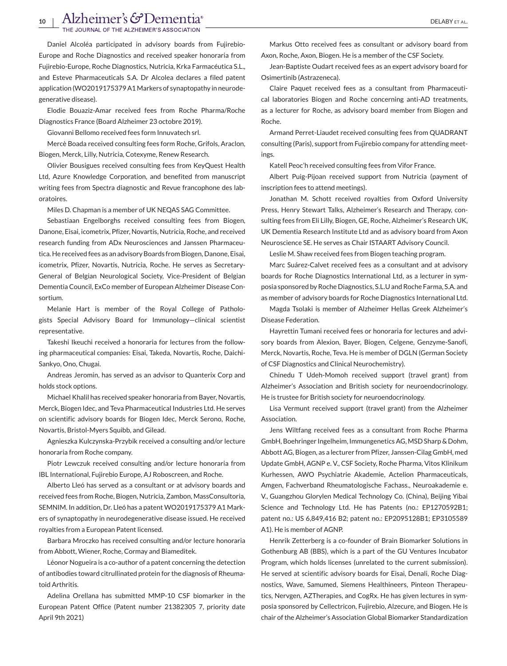# 10 | Alzheimer's GDementia<sup>®</sup><br>The Journal of the Alzheimer's association

Daniel Alcoléa participated in advisory boards from Fujirebio-Europe and Roche Diagnostics and received speaker honoraria from Fujirebio-Europe, Roche Diagnostics, Nutricia, Krka Farmacéutica S.L., and Esteve Pharmaceuticals S.A. Dr Alcolea declares a filed patent application (WO2019175379 A1Markers of synaptopathy in neurodegenerative disease).

Elodie Bouaziz-Amar received fees from Roche Pharma/Roche Diagnostics France (Board Alzheimer 23 octobre 2019).

Giovanni Bellomo received fees form Innuvatech srl.

Mercè Boada received consulting fees form Roche, Grifols, Araclon, Biogen, Merck, Lilly, Nutricia, Cotexyme, Renew Research.

Olivier Bousigues received consulting fees from KeyQuest Health Ltd, Azure Knowledge Corporation, and benefited from manuscript writing fees from Spectra diagnostic and Revue francophone des laboratoires.

Miles D. Chapman is a member of UK NEQAS SAG Committee.

Sebastiaan Engelborghs received consulting fees from Biogen, Danone, Eisai, icometrix, Pfizer, Novartis, Nutricia, Roche, and received research funding from ADx Neurosciences and Janssen Pharmaceutica. He received fees as an advisory Boards from Biogen, Danone, Eisai, icometrix, Pfizer, Novartis, Nutricia, Roche. He serves as Secretary-General of Belgian Neurological Society, Vice-President of Belgian Dementia Council, ExCo member of European Alzheimer Disease Consortium.

Melanie Hart is member of the Royal College of Pathologists Special Advisory Board for Immunology—clinical scientist representative.

Takeshi Ikeuchi received a honoraria for lectures from the following pharmaceutical companies: Eisai, Takeda, Novartis, Roche, Daichi-Sankyo, Ono, Chugai.

Andreas Jeromin, has served as an advisor to Quanterix Corp and holds stock options.

Michael Khalil has received speaker honoraria from Bayer, Novartis, Merck, Biogen Idec, and Teva Pharmaceutical Industries Ltd. He serves on scientific advisory boards for Biogen Idec, Merck Serono, Roche, Novartis, Bristol-Myers Squibb, and Gilead.

Agnieszka Kulczynska-Przybik received a consulting and/or lecture honoraria from Roche company.

Piotr Lewczuk received consulting and/or lecture honoraria from IBL International, Fujirebio Europe, AJ Roboscreen, and Roche.

Alberto Lleó has served as a consultant or at advisory boards and received fees from Roche, Biogen, Nutricia, Zambon, MassConsultoria, SEMNIM. In addition, Dr. Lleó has a patent WO2019175379 A1 Markers of synaptopathy in neurodegenerative disease issued. He received royalties from a European Patent licensed.

Barbara Mroczko has received consulting and/or lecture honoraria from Abbott, Wiener, Roche, Cormay and Biameditek.

Léonor Nogueira is a co-author of a patent concerning the detection of antibodies toward citrullinated protein for the diagnosis of Rheumatoid Arthritis.

Adelina Orellana has submitted MMP-10 CSF biomarker in the European Patent Office (Patent number 21382305 7, priority date April 9th 2021)

Markus Otto received fees as consultant or advisory board from Axon, Roche, Axon, Biogen. He is a member of the CSF Society.

Jean-Baptiste Oudart received fees as an expert advisory board for Osimertinib (Astrazeneca).

Claire Paquet received fees as a consultant from Pharmaceutical laboratories Biogen and Roche concerning anti-AD treatments, as a lecturer for Roche, as advisory board member from Biogen and Roche.

Armand Perret-Liaudet received consulting fees from QUADRANT consulting (Paris), support from Fujirebio company for attending meetings.

Katell Peoc'h received consulting fees from Vifor France.

Albert Puig-Pijoan received support from Nutricia (payment of inscription fees to attend meetings).

Jonathan M. Schott received royalties from Oxford University Press, Henry Stewart Talks, Alzheimer's Research and Therapy, consulting fees from Eli Lilly, Biogen, GE, Roche, Alzheimer's Research UK, UK Dementia Research Institute Ltd and as advisory board from Axon Neuroscience SE. He serves as Chair ISTAART Advisory Council.

Leslie M. Shaw received fees from Biogen teaching program.

Marc Suárez-Calvet received fees as a consultant and at advisory boards for Roche Diagnostics International Ltd, as a lecturer in symposia sponsored by Roche Diagnostics, S.L.U and Roche Farma, S.A. and as member of advisory boards for Roche Diagnostics International Ltd.

Magda Tsolaki is member of Alzheimer Hellas Greek Alzheimer's Disease Federation.

Hayrettin Tumani received fees or honoraria for lectures and advisory boards from Alexion, Bayer, Biogen, Celgene, Genzyme-Sanofi, Merck, Novartis, Roche, Teva. He is member of DGLN (German Society of CSF Diagnostics and Clinical Neurochemistry).

Chinedu T Udeh-Momoh received support (travel grant) from Alzheimer's Association and British society for neuroendocrinology. He is trustee for British society for neuroendocrinology.

Lisa Vermunt received support (travel grant) from the Alzheimer Association.

Jens Wiltfang received fees as a consultant from Roche Pharma GmbH, Boehringer Ingelheim, Immungenetics AG, MSD Sharp & Dohm, Abbott AG, Biogen, as a lecturer from Pfizer, Janssen-Cilag GmbH, med Update GmbH, AGNP e. V., CSF Society, Roche Pharma, Vitos Klinikum Kurhessen, AWO Psychiatrie Akademie, Actelion Pharmaceuticals, Amgen, Fachverband Rheumatologische Fachass., Neuroakademie e. V., Guangzhou Glorylen Medical Technology Co. (China), Beijing Yibai Science and Technology Ltd. He has Patents (no.: EP1270592B1; patent no.: US 6,849,416 B2; patent no.: EP2095128B1; EP3105589 A1). He is member of AGNP.

Henrik Zetterberg is a co-founder of Brain Biomarker Solutions in Gothenburg AB (BBS), which is a part of the GU Ventures Incubator Program, which holds licenses (unrelated to the current submission). He served at scientific advisory boards for Eisai, Denali, Roche Diagnostics, Wave, Samumed, Siemens Healthineers, Pinteon Therapeutics, Nervgen, AZTherapies, and CogRx. He has given lectures in symposia sponsored by Cellectricon, Fujirebio, Alzecure, and Biogen. He is chair of the Alzheimer's Association Global Biomarker Standardization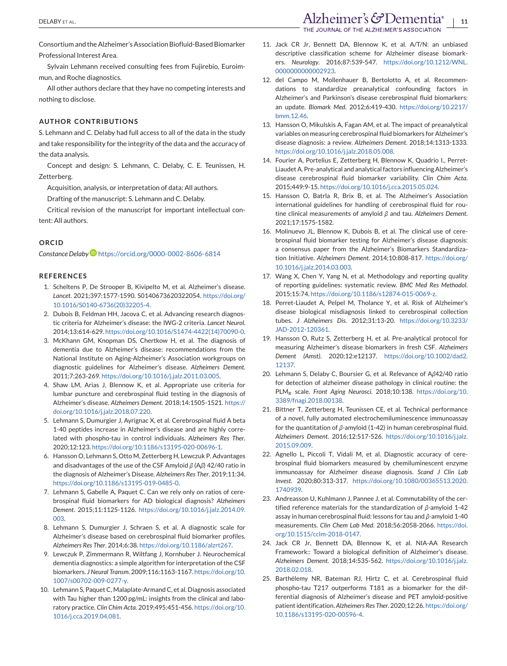<span id="page-10-0"></span>Consortium and the Alzheimer's Association Biofluid-Based Biomarker Professional Interest Area.

Sylvain Lehmann received consulting fees from Fujirebio, Euroimmun, and Roche diagnostics.

All other authors declare that they have no competing interests and nothing to disclose.

#### **AUTHOR CONTRIBUTIONS**

S. Lehmann and C. Delaby had full access to all of the data in the study and take responsibility for the integrity of the data and the accuracy of the data analysis.

Concept and design: S. Lehmann, C. Delaby, C. E. Teunissen, H. Zetterberg.

Acquisition, analysis, or interpretation of data: All authors.

Drafting of the manuscript: S. Lehmann and C. Delaby.

Critical revision of the manuscript for important intellectual content: All authors.

#### **ORCID**

*Constance Delab[y](https://orcid.org/0000-0002-8606-6814)* <https://orcid.org/0000-0002-8606-6814>

#### **REFERENCES**

- 1. Scheltens P, De Strooper B, Kivipelto M, et al. Alzheimer's disease. *Lancet*. 2021;397:1577-1590. S0140673620322054. [https://doi.org/](https://doi.org/10.1016/S0140-6736(20)32205-4) [10.1016/S0140-6736\(20\)32205-4.](https://doi.org/10.1016/S0140-6736(20)32205-4)
- 2. Dubois B, Feldman HH, Jacova C, et al. Advancing research diagnostic criteria for Alzheimer's disease: the IWG-2 criteria. *Lancet Neurol*. 2014;13:614-629. [https://doi.org/10.1016/S1474-4422\(14\)70090-0.](https://doi.org/10.1016/S1474-4422(14)70090-0)
- 3. McKhann GM, Knopman DS, Chertkow H, et al. The diagnosis of dementia due to Alzheimer's disease: recommendations from the National Institute on Aging-Alzheimer's Association workgroups on diagnostic guidelines for Alzheimer's disease. *Alzheimers Dement*. 2011;7:263-269. [https://doi.org/10.1016/j.jalz.2011.03.005.](https://doi.org/10.1016/j.jalz.2011.03.005)
- 4. Shaw LM, Arias J, Blennow K, et al. Appropriate use criteria for lumbar puncture and cerebrospinal fluid testing in the diagnosis of Alzheimer's disease. *Alzheimers Dement*. 2018;14:1505-1521. [https://](https://doi.org/10.1016/j.jalz.2018.07.220) [doi.org/10.1016/j.jalz.2018.07.220.](https://doi.org/10.1016/j.jalz.2018.07.220)
- 5. Lehmann S, Dumurgier J, Ayrignac X, et al. Cerebrospinal fluid A beta 1-40 peptides increase in Alzheimer's disease and are highly correlated with phospho-tau in control individuals. *Alzheimers Res Ther*. 2020;12:123. [https://doi.org/10.1186/s13195-020-00696-1.](https://doi.org/10.1186/s13195-020-00696-1)
- 6. Hansson O, Lehmann S, Otto M, Zetterberg H, Lewczuk P. Advantages and disadvantages of the use of the CSF Amyloid *β* (A*β*) 42/40 ratio in the diagnosis of Alzheimer's Disease. *Alzheimers Res Ther*. 2019;11:34. [https://doi.org/10.1186/s13195-019-0485-0.](https://doi.org/10.1186/s13195-019-0485-0)
- 7. Lehmann S, Gabelle A, Paquet C. Can we rely only on ratios of cerebrospinal fluid biomarkers for AD biological diagnosis? *Alzheimers Dement*. 2015;11:1125-1126. [https://doi.org/10.1016/j.jalz.2014.09.](https://doi.org/10.1016/j.jalz.2014.09.003) [003.](https://doi.org/10.1016/j.jalz.2014.09.003)
- 8. Lehmann S, Dumurgier J, Schraen S, et al. A diagnostic scale for Alzheimer's disease based on cerebrospinal fluid biomarker profiles. *Alzheimers Res Ther*. 2014;6:38. [https://doi.org/10.1186/alzrt267.](https://doi.org/10.1186/alzrt267)
- 9. Lewczuk P, Zimmermann R, Wiltfang J, Kornhuber J. Neurochemical dementia diagnostics: a simple algorithm for interpretation of the CSF biomarkers. *J Neural Transm*. 2009;116:1163-1167. [https://doi.org/10.](https://doi.org/10.1007/s00702-009-0277-y) [1007/s00702-009-0277-y.](https://doi.org/10.1007/s00702-009-0277-y)
- 10. Lehmann S, Paquet C, Malaplate-Armand C, et al. Diagnosis associated with Tau higher than 1200 pg/mL: insights from the clinical and laboratory practice. *Clin Chim Acta*. 2019;495:451-456. [https://doi.org/10.](https://doi.org/10.1016/j.cca.2019.04.081) [1016/j.cca.2019.04.081.](https://doi.org/10.1016/j.cca.2019.04.081)
- 11. Jack CR Jr, Bennett DA, Blennow K, et al. A/T/N: an unbiased descriptive classification scheme for Alzheimer disease biomarkers. *Neurology*. 2016;87:539-547. [https://doi.org/10.1212/WNL.](https://doi.org/10.1212/WNL.0000000000002923) [0000000000002923.](https://doi.org/10.1212/WNL.0000000000002923)
- 12. del Campo M, Mollenhauer B, Bertolotto A, et al. Recommendations to standardize preanalytical confounding factors in Alzheimer's and Parkinson's disease cerebrospinal fluid biomarkers: an update. *Biomark Med*. 2012;6:419-430. [https://doi.org/10.2217/](https://doi.org/10.2217/bmm.12.46) [bmm.12.46.](https://doi.org/10.2217/bmm.12.46)
- 13. Hansson O, Mikulskis A, Fagan AM, et al. The impact of preanalytical variables on measuring cerebrospinal fluid biomarkers for Alzheimer's disease diagnosis: a review. *Alzheimers Dement*. 2018;14:1313-1333. [https://doi.org/10.1016/j.jalz.2018.05.008.](https://doi.org/10.1016/j.jalz.2018.05.008)
- 14. Fourier A, Portelius E, Zetterberg H, Blennow K, Quadrio I., Perret-Liaudet A. Pre-analytical and analytical factors influencing Alzheimer's disease cerebrospinal fluid biomarker variability. *Clin Chim Acta*. 2015;449:9-15. [https://doi.org/10.1016/j.cca.2015.05.024.](https://doi.org/10.1016/j.cca.2015.05.024)
- 15. Hansson O, Batrla R, Brix B, et al. The Alzheimer's Association international guidelines for handling of cerebrospinal fluid for routine clinical measurements of amyloid *β* and tau. *Alzheimers Dement*. 2021;17:1575-1582.
- 16. Molinuevo JL, Blennow K, Dubois B, et al. The clinical use of cerebrospinal fluid biomarker testing for Alzheimer's disease diagnosis: a consensus paper from the Alzheimer's Biomarkers Standardization Initiative. *Alzheimers Dement*. 2014;10:808-817. [https://doi.org/](https://doi.org/10.1016/j.jalz.2014.03.003) [10.1016/j.jalz.2014.03.003.](https://doi.org/10.1016/j.jalz.2014.03.003)
- 17. Wang X, Chen Y, Yang N, et al. Methodology and reporting quality of reporting guidelines: systematic review. *BMC Med Res Methodol*. 2015;15:74. [https://doi.org/10.1186/s12874-015-0069-z.](https://doi.org/10.1186/s12874-015-0069-z)
- 18. Perret-Liaudet A, Pelpel M, Tholance Y, et al. Risk of Alzheimer's disease biological misdiagnosis linked to cerebrospinal collection tubes. *J Alzheimers Dis*. 2012;31:13-20. [https://doi.org/10.3233/](https://doi.org/10.3233/JAD-2012-120361) [JAD-2012-120361.](https://doi.org/10.3233/JAD-2012-120361)
- 19. Hansson O, Rutz S, Zetterberg H, et al. Pre-analytical protocol for measuring Alzheimer's disease biomarkers in fresh CSF. *Alzheimers Dement (Amst)*. 2020;12:e12137. [https://doi.org/10.1002/dad2.](https://doi.org/10.1002/dad2.12137) [12137.](https://doi.org/10.1002/dad2.12137)
- 20. Lehmann S, Delaby C, Boursier G, et al. Relevance of A*β*42/40 ratio for detection of alzheimer disease pathology in clinical routine: the PLMR scale. *Front Aging Neurosci*. 2018;10:138. [https://doi.org/10.](https://doi.org/10.3389/fnagi.2018.00138) [3389/fnagi.2018.00138.](https://doi.org/10.3389/fnagi.2018.00138)
- 21. Bittner T, Zetterberg H, Teunissen CE, et al. Technical performance of a novel, fully automated electrochemiluminescence immunoassay for the quantitation of *β*-amyloid (1-42) in human cerebrospinal fluid. *Alzheimers Dement*. 2016;12:517-526. [https://doi.org/10.1016/j.jalz.](https://doi.org/10.1016/j.jalz.2015.09.009) [2015.09.009.](https://doi.org/10.1016/j.jalz.2015.09.009)
- 22. Agnello L, Piccoli T, Vidali M, et al. Diagnostic accuracy of cerebrospinal fluid biomarkers measured by chemiluminescent enzyme immunoassay for Alzheimer disease diagnosis. *Scand J Clin Lab Invest*. 2020;80:313-317. [https://doi.org/10.1080/00365513.2020.](https://doi.org/10.1080/00365513.2020.1740939) [1740939.](https://doi.org/10.1080/00365513.2020.1740939)
- 23. Andreasson U, Kuhlmann J, Pannee J, et al. Commutability of the certified reference materials for the standardization of *β*-amyloid 1-42 assay in human cerebrospinal fluid: lessons for tau and *β*-amyloid 1-40 measurements. *Clin Chem Lab Med*. 2018;56:2058-2066. [https://doi.](https://doi.org/10.1515/cclm-2018-0147) [org/10.1515/cclm-2018-0147.](https://doi.org/10.1515/cclm-2018-0147)
- 24. Jack CR Jr, Bennett DA, Blennow K, et al. NIA-AA Research Framework:: Toward a biological definition of Alzheimer's disease. *Alzheimers Dement*. 2018;14:535-562. [https://doi.org/10.1016/j.jalz.](https://doi.org/10.1016/j.jalz.2018.02.018) [2018.02.018.](https://doi.org/10.1016/j.jalz.2018.02.018)
- 25. Barthélemy NR, Bateman RJ, Hirtz C, et al. Cerebrospinal fluid phospho-tau T217 outperforms T181 as a biomarker for the differential diagnosis of Alzheimer's disease and PET amyloid-positive patient identification. *Alzheimers Res Ther*. 2020;12:26. [https://doi.org/](https://doi.org/10.1186/s13195-020-00596-4) [10.1186/s13195-020-00596-4.](https://doi.org/10.1186/s13195-020-00596-4)